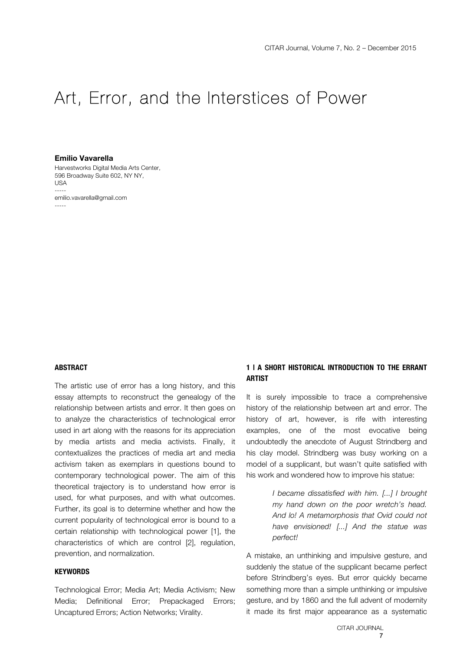# Art, Error, and the Interstices of Power

#### **Emilio Vavarella**

Harvestworks Digital Media Arts Center, 596 Broadway Suite 602, NY NY, USA ---- emilio.vavarella@gmail.com -----

## **ABSTRACT**

The artistic use of error has a long history, and this essay attempts to reconstruct the genealogy of the relationship between artists and error. It then goes on to analyze the characteristics of technological error used in art along with the reasons for its appreciation by media artists and media activists. Finally, it contextualizes the practices of media art and media activism taken as exemplars in questions bound to contemporary technological power. The aim of this theoretical trajectory is to understand how error is used, for what purposes, and with what outcomes. Further, its goal is to determine whether and how the current popularity of technological error is bound to a certain relationship with technological power [1], the characteristics of which are control [2], regulation, prevention, and normalization.

## **KEYWORDS**

Technological Error; Media Art; Media Activism; New Media; Definitional Error; Prepackaged Errors; Uncaptured Errors; Action Networks; Virality.

## **1 | A SHORT HISTORICAL INTRODUCTION TO THE ERRANT ARTIST**

It is surely impossible to trace a comprehensive history of the relationship between art and error. The history of art, however, is rife with interesting examples, one of the most evocative being undoubtedly the anecdote of August Strindberg and his clay model. Strindberg was busy working on a model of a supplicant, but wasn't quite satisfied with his work and wondered how to improve his statue:

> *I became dissatisfied with him. [...] I brought my hand down on the poor wretch's head. And lo! A metamorphosis that Ovid could not have envisioned! [...] And the statue was perfect!*

A mistake, an unthinking and impulsive gesture, and suddenly the statue of the supplicant became perfect before Strindberg's eyes. But error quickly became something more than a simple unthinking or impulsive gesture, and by 1860 and the full advent of modernity it made its first major appearance as a systematic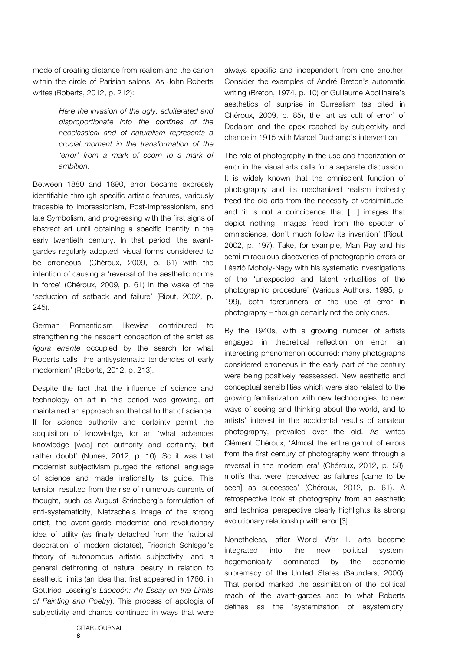mode of creating distance from realism and the canon within the circle of Parisian salons. As John Roberts writes (Roberts, 2012, p. 212):

> *Here the invasion of the ugly, adulterated and disproportionate into the confines of the neoclassical and of naturalism represents a crucial moment in the transformation of the 'error' from a mark of scorn to a mark of ambition.*

Between 1880 and 1890, error became expressly identifiable through specific artistic features, variously traceable to Impressionism, Post-Impressionism, and late Symbolism, and progressing with the first signs of abstract art until obtaining a specific identity in the early twentieth century. In that period, the avantgardes regularly adopted 'visual forms considered to be erroneous' (Chéroux, 2009, p. 61) with the intention of causing a 'reversal of the aesthetic norms in force' (Chéroux, 2009, p. 61) in the wake of the 'seduction of setback and failure' (Riout, 2002, p. 245).

German Romanticism likewise contributed to strengthening the nascent conception of the artist as *figura errante* occupied by the search for what Roberts calls 'the antisystematic tendencies of early modernism' (Roberts, 2012, p. 213).

Despite the fact that the influence of science and technology on art in this period was growing, art maintained an approach antithetical to that of science. If for science authority and certainty permit the acquisition of knowledge, for art 'what advances knowledge [was] not authority and certainty, but rather doubt' (Nunes, 2012, p. 10). So it was that modernist subjectivism purged the rational language of science and made irrationality its guide. This tension resulted from the rise of numerous currents of thought, such as August Strindberg's formulation of anti-systematicity, Nietzsche's image of the strong artist, the avant-garde modernist and revolutionary idea of utility (as finally detached from the 'rational decoration' of modern dictates), Friedrich Schlegel's theory of autonomous artistic subjectivity, and a general dethroning of natural beauty in relation to aesthetic limits (an idea that first appeared in 1766, in Gottfried Lessing's *Laocoön: An Essay on the Limits of Painting and Poetry*). This process of apologia of subjectivity and chance continued in ways that were always specific and independent from one another. Consider the examples of André Breton's automatic writing (Breton, 1974, p. 10) or Guillaume Apollinaire's aesthetics of surprise in Surrealism (as cited in Chéroux, 2009, p. 85), the 'art as cult of error' of Dadaism and the apex reached by subjectivity and chance in 1915 with Marcel Duchamp's intervention.

The role of photography in the use and theorization of error in the visual arts calls for a separate discussion. It is widely known that the omniscient function of photography and its mechanized realism indirectly freed the old arts from the necessity of verisimilitude, and 'it is not a coincidence that […] images that depict nothing, images freed from the specter of omniscience, don't much follow its invention' (Riout, 2002, p. 197). Take, for example, Man Ray and his semi-miraculous discoveries of photographic errors or László Moholy-Nagy with his systematic investigations of the 'unexpected and latent virtualities of the photographic procedure' (Various Authors, 1995, p. 199), both forerunners of the use of error in photography – though certainly not the only ones.

By the 1940s, with a growing number of artists engaged in theoretical reflection on error, an interesting phenomenon occurred: many photographs considered erroneous in the early part of the century were being positively reassessed. New aesthetic and conceptual sensibilities which were also related to the growing familiarization with new technologies, to new ways of seeing and thinking about the world, and to artists' interest in the accidental results of amateur photography, prevailed over the old. As writes Clément Chéroux, 'Almost the entire gamut of errors from the first century of photography went through a reversal in the modern era' (Chéroux, 2012, p. 58); motifs that were 'perceived as failures [came to be seen] as successes' (Chéroux, 2012, p. 61). A retrospective look at photography from an aesthetic and technical perspective clearly highlights its strong evolutionary relationship with error [3].

Nonetheless, after World War II, arts became integrated into the new political system, hegemonically dominated by the economic supremacy of the United States (Saunders, 2000). That period marked the assimilation of the political reach of the avant-gardes and to what Roberts defines as the 'systemization of asystemicity'

CITAR JOURNAL 8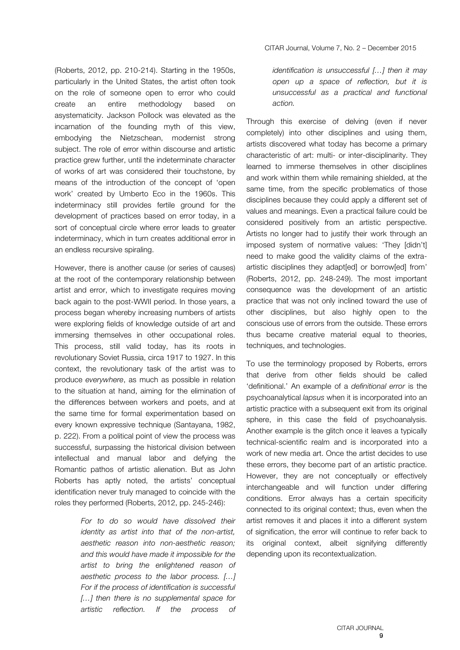(Roberts, 2012, pp. 210-214). Starting in the 1950s, particularly in the United States, the artist often took on the role of someone open to error who could create an entire methodology based on asystematicity. Jackson Pollock was elevated as the incarnation of the founding myth of this view, embodying the Nietzschean, modernist strong subject. The role of error within discourse and artistic practice grew further, until the indeterminate character of works of art was considered their touchstone, by means of the introduction of the concept of 'open work' created by Umberto Eco in the 1960s. This indeterminacy still provides fertile ground for the development of practices based on error today, in a sort of conceptual circle where error leads to greater indeterminacy, which in turn creates additional error in an endless recursive spiraling.

However, there is another cause (or series of causes) at the root of the contemporary relationship between artist and error, which to investigate requires moving back again to the post-WWII period. In those years, a process began whereby increasing numbers of artists were exploring fields of knowledge outside of art and immersing themselves in other occupational roles. This process, still valid today, has its roots in revolutionary Soviet Russia, circa 1917 to 1927. In this context, the revolutionary task of the artist was to produce *everywhere*, as much as possible in relation to the situation at hand, aiming for the elimination of the differences between workers and poets, and at the same time for formal experimentation based on every known expressive technique (Santayana, 1982, p. 222). From a political point of view the process was successful, surpassing the historical division between intellectual and manual labor and defying the Romantic pathos of artistic alienation. But as John Roberts has aptly noted, the artists' conceptual identification never truly managed to coincide with the roles they performed (Roberts, 2012, pp. 245-246):

> *For to do so would have dissolved their identity as artist into that of the non-artist, aesthetic reason into non-aesthetic reason; and this would have made it impossible for the artist to bring the enlightened reason of aesthetic process to the labor process. […] For if the process of identification is successful […] then there is no supplemental space for artistic reflection. If the process of*

*identification is unsuccessful […] then it may open up a space of reflection, but it is unsuccessful as a practical and functional action.*

Through this exercise of delving (even if never completely) into other disciplines and using them, artists discovered what today has become a primary characteristic of art: multi- or inter-disciplinarity. They learned to immerse themselves in other disciplines and work within them while remaining shielded, at the same time, from the specific problematics of those disciplines because they could apply a different set of values and meanings. Even a practical failure could be considered positively from an artistic perspective. Artists no longer had to justify their work through an imposed system of normative values: 'They [didn't] need to make good the validity claims of the extraartistic disciplines they adapt[ed] or borrow[ed] from' (Roberts, 2012, pp. 248-249). The most important consequence was the development of an artistic practice that was not only inclined toward the use of other disciplines, but also highly open to the conscious use of errors from the outside. These errors thus became creative material equal to theories, techniques, and technologies.

To use the terminology proposed by Roberts, errors that derive from other fields should be called 'definitional.' An example of a *definitional error* is the psychoanalytical *lapsus* when it is incorporated into an artistic practice with a subsequent exit from its original sphere, in this case the field of psychoanalysis. Another example is the glitch once it leaves a typically technical-scientific realm and is incorporated into a work of new media art. Once the artist decides to use these errors, they become part of an artistic practice. However, they are not conceptually or effectively interchangeable and will function under differing conditions. Error always has a certain specificity connected to its original context; thus, even when the artist removes it and places it into a different system of signification, the error will continue to refer back to its original context, albeit signifying differently depending upon its recontextualization.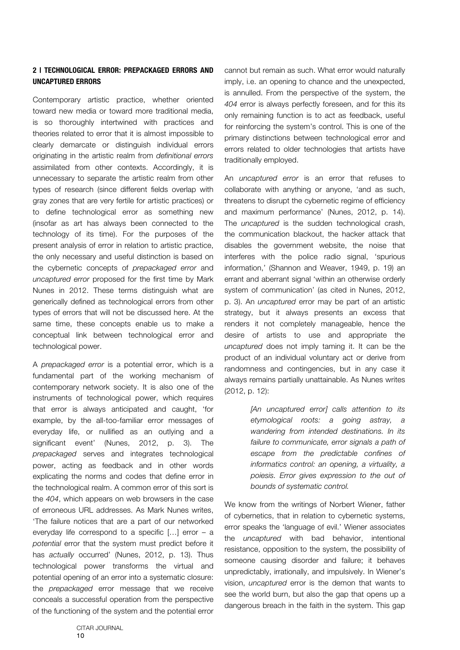## **2 | TECHNOLOGICAL ERROR: PREPACKAGED ERRORS AND UNCAPTURED ERRORS**

Contemporary artistic practice, whether oriented toward new media or toward more traditional media, is so thoroughly intertwined with practices and theories related to error that it is almost impossible to clearly demarcate or distinguish individual errors originating in the artistic realm from *definitional errors* assimilated from other contexts. Accordingly, it is unnecessary to separate the artistic realm from other types of research (since different fields overlap with gray zones that are very fertile for artistic practices) or to define technological error as something new (insofar as art has always been connected to the technology of its time). For the purposes of the present analysis of error in relation to artistic practice, the only necessary and useful distinction is based on the cybernetic concepts of *prepackaged error* and *uncaptured error* proposed for the first time by Mark Nunes in 2012. These terms distinguish what are generically defined as technological errors from other types of errors that will not be discussed here. At the same time, these concepts enable us to make a conceptual link between technological error and technological power.

A *prepackaged error* is a potential error, which is a fundamental part of the working mechanism of contemporary network society. It is also one of the instruments of technological power, which requires that error is always anticipated and caught, 'for example, by the all-too-familiar error messages of everyday life, or nullified as an outlying and a significant event' (Nunes, 2012, p. 3). The *prepackaged* serves and integrates technological power, acting as feedback and in other words explicating the norms and codes that define error in the technological realm. A common error of this sort is the *404*, which appears on web browsers in the case of erroneous URL addresses. As Mark Nunes writes, 'The failure notices that are a part of our networked everyday life correspond to a specific […] error – a *potential* error that the system must predict before it has *actually* occurred' (Nunes, 2012, p. 13). Thus technological power transforms the virtual and potential opening of an error into a systematic closure: the *prepackaged* error message that we receive conceals a successful operation from the perspective of the functioning of the system and the potential error cannot but remain as such. What error would naturally imply, i.e. an opening to chance and the unexpected, is annulled. From the perspective of the system, the *404* error is always perfectly foreseen, and for this its only remaining function is to act as feedback, useful for reinforcing the system's control. This is one of the primary distinctions between technological error and errors related to older technologies that artists have traditionally employed.

An *uncaptured error* is an error that refuses to collaborate with anything or anyone, 'and as such, threatens to disrupt the cybernetic regime of efficiency and maximum performance' (Nunes, 2012, p. 14). The *uncaptured* is the sudden technological crash, the communication blackout, the hacker attack that disables the government website, the noise that interferes with the police radio signal, 'spurious information,' (Shannon and Weaver, 1949, p. 19) an errant and aberrant signal 'within an otherwise orderly system of communication' (as cited in Nunes, 2012, p. 3). An *uncaptured* error may be part of an artistic strategy, but it always presents an excess that renders it not completely manageable, hence the desire of artists to use and appropriate the *uncaptured* does not imply taming it. It can be the product of an individual voluntary act or derive from randomness and contingencies, but in any case it always remains partially unattainable. As Nunes writes (2012, p. 12):

> *[An uncaptured error] calls attention to its etymological roots: a going astray, a wandering from intended destinations. In its failure to communicate, error signals a path of escape from the predictable confines of informatics control: an opening, a virtuality, a poiesis. Error gives expression to the out of bounds of systematic control.*

We know from the writings of Norbert Wiener, father of cybernetics, that in relation to cybernetic systems, error speaks the 'language of evil.' Wiener associates the *uncaptured* with bad behavior, intentional resistance, opposition to the system, the possibility of someone causing disorder and failure; it behaves unpredictably, irrationally, and impulsively. In Wiener's vision, *uncaptured* error is the demon that wants to see the world burn, but also the gap that opens up a dangerous breach in the faith in the system. This gap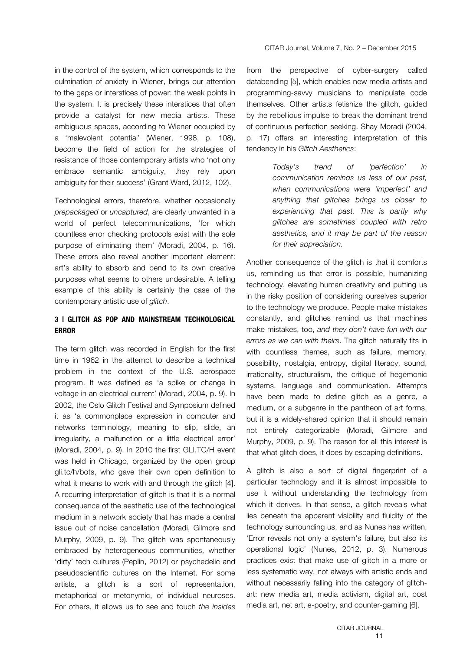in the control of the system, which corresponds to the culmination of anxiety in Wiener, brings our attention to the gaps or interstices of power: the weak points in the system. It is precisely these interstices that often provide a catalyst for new media artists. These ambiguous spaces, according to Wiener occupied by a 'malevolent potential' (Wiener, 1998, p. 108), become the field of action for the strategies of resistance of those contemporary artists who 'not only embrace semantic ambiguity, they rely upon ambiguity for their success' (Grant Ward, 2012, 102).

Technological errors, therefore, whether occasionally *prepackaged* or *uncaptured*, are clearly unwanted in a world of perfect telecommunications, 'for which countless error checking protocols exist with the sole purpose of eliminating them' (Moradi, 2004, p. 16). These errors also reveal another important element: art's ability to absorb and bend to its own creative purposes what seems to others undesirable. A telling example of this ability is certainly the case of the contemporary artistic use of *glitch*.

# **3 | GLITCH AS POP AND MAINSTREAM TECHNOLOGICAL ERROR**

The term glitch was recorded in English for the first time in 1962 in the attempt to describe a technical problem in the context of the U.S. aerospace program. It was defined as 'a spike or change in voltage in an electrical current' (Moradi, 2004, p. 9). In 2002, the Oslo Glitch Festival and Symposium defined it as 'a commonplace expression in computer and networks terminology, meaning to slip, slide, an irregularity, a malfunction or a little electrical error' (Moradi, 2004, p. 9). In 2010 the first GLI.TC/H event was held in Chicago, organized by the open group gli.tc/h/bots, who gave their own open definition to what it means to work with and through the glitch [4]. A recurring interpretation of glitch is that it is a normal consequence of the aesthetic use of the technological medium in a network society that has made a central issue out of noise cancellation (Moradi, Gilmore and Murphy, 2009, p. 9). The glitch was spontaneously embraced by heterogeneous communities, whether 'dirty' tech cultures (Peplin, 2012) or psychedelic and pseudoscientific cultures on the Internet. For some artists, a glitch is a sort of representation, metaphorical or metonymic, of individual neuroses. For others, it allows us to see and touch *the insides*

from the perspective of cyber-surgery called databending [5], which enables new media artists and programming-savvy musicians to manipulate code themselves. Other artists fetishize the glitch, guided by the rebellious impulse to break the dominant trend of continuous perfection seeking. Shay Moradi (2004, p. 17) offers an interesting interpretation of this tendency in his *Glitch Aesthetics*:

> *Today's trend of 'perfection' in communication reminds us less of our past, when communications were 'imperfect' and anything that glitches brings us closer to experiencing that past. This is partly why glitches are sometimes coupled with retro aesthetics, and it may be part of the reason for their appreciation.*

Another consequence of the glitch is that it comforts us, reminding us that error is possible, humanizing technology, elevating human creativity and putting us in the risky position of considering ourselves superior to the technology we produce. People make mistakes constantly, and glitches remind us that machines make mistakes, too, *and they don't have fun with our errors as we can with theirs*. The glitch naturally fits in with countless themes, such as failure, memory, possibility, nostalgia, entropy, digital literacy, sound, irrationality, structuralism, the critique of hegemonic systems, language and communication. Attempts have been made to define glitch as a genre, a medium, or a subgenre in the pantheon of art forms, but it is a widely-shared opinion that it should remain not entirely categorizable (Moradi, Gilmore and Murphy, 2009, p. 9). The reason for all this interest is that what glitch does, it does by escaping definitions.

A glitch is also a sort of digital fingerprint of a particular technology and it is almost impossible to use it without understanding the technology from which it derives. In that sense, a glitch reveals what lies beneath the apparent visibility and fluidity of the technology surrounding us, and as Nunes has written, 'Error reveals not only a system's failure, but also its operational logic' (Nunes, 2012, p. 3). Numerous practices exist that make use of glitch in a more or less systematic way, not always with artistic ends and without necessarily falling into the category of glitchart: new media art, media activism, digital art, post media art, net art, e-poetry, and counter-gaming [6].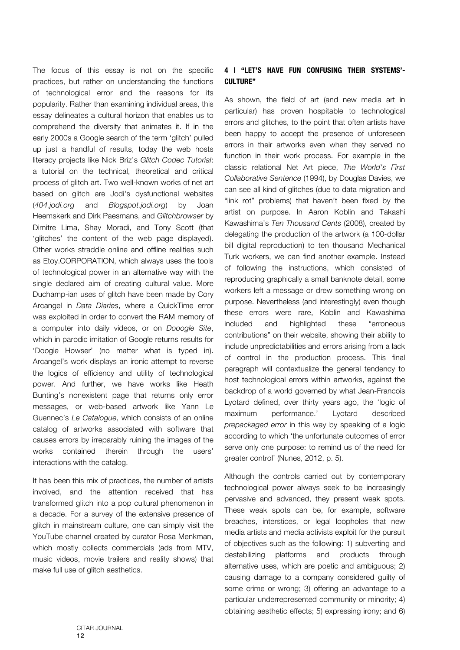The focus of this essay is not on the specific practices, but rather on understanding the functions of technological error and the reasons for its popularity. Rather than examining individual areas, this essay delineates a cultural horizon that enables us to comprehend the diversity that animates it. If in the early 2000s a Google search of the term 'glitch' pulled up just a handful of results, today the web hosts literacy projects like Nick Briz's *Glitch Codec Tutorial*: a tutorial on the technical, theoretical and critical process of glitch art. Two well-known works of net art based on glitch are Jodi's dysfunctional websites (*404.jodi.org* and *Blogspot.jodi.org*) by Joan Heemskerk and Dirk Paesmans, and *Glitchbrowser* by Dimitre Lima, Shay Moradi, and Tony Scott (that 'glitches' the content of the web page displayed). Other works straddle online and offline realities such as Etoy.CORPORATION, which always uses the tools of technological power in an alternative way with the single declared aim of creating cultural value. More Duchamp-ian uses of glitch have been made by Cory Arcangel in *Data Diaries*, where a QuickTime error was exploited in order to convert the RAM memory of a computer into daily videos, or on *Dooogle Site*, which in parodic imitation of Google returns results for 'Doogie Howser' (no matter what is typed in). Arcangel's work displays an ironic attempt to reverse the logics of efficiency and utility of technological power. And further, we have works like Heath Bunting's nonexistent page that returns only error messages, or web-based artwork like Yann Le Guennec's *Le Catalogue*, which consists of an online catalog of artworks associated with software that causes errors by irreparably ruining the images of the works contained therein through the users' interactions with the catalog.

It has been this mix of practices, the number of artists involved, and the attention received that has transformed glitch into a pop cultural phenomenon in a decade. For a survey of the extensive presence of glitch in mainstream culture, one can simply visit the YouTube channel created by curator Rosa Menkman, which mostly collects commercials (ads from MTV, music videos, movie trailers and reality shows) that make full use of glitch aesthetics.

# **4 | "LET'S HAVE FUN CONFUSING THEIR SYSTEMS'- CULTURE"**

As shown, the field of art (and new media art in particular) has proven hospitable to technological errors and glitches, to the point that often artists have been happy to accept the presence of unforeseen errors in their artworks even when they served no function in their work process. For example in the classic relational Net Art piece, *The World's First Collaborative Sentence* (1994), by Douglas Davies, we can see all kind of glitches (due to data migration and "link rot" problems) that haven't been fixed by the artist on purpose. In Aaron Koblin and Takashi Kawashima's *Ten Thousand Cents* (2008), created by delegating the production of the artwork (a 100-dollar bill digital reproduction) to ten thousand Mechanical Turk workers, we can find another example. Instead of following the instructions, which consisted of reproducing graphically a small banknote detail, some workers left a message or drew something wrong on purpose. Nevertheless (and interestingly) even though these errors were rare, Koblin and Kawashima included and highlighted these "erroneous contributions" on their website, showing their ability to include unpredictabilities and errors arising from a lack of control in the production process. This final paragraph will contextualize the general tendency to host technological errors within artworks, against the backdrop of a world governed by what Jean-Francois Lyotard defined, over thirty years ago, the 'logic of maximum performance.' Lyotard described *prepackaged error* in this way by speaking of a logic according to which 'the unfortunate outcomes of error serve only one purpose: to remind us of the need for greater control' (Nunes, 2012, p. 5).

Although the controls carried out by contemporary technological power always seek to be increasingly pervasive and advanced, they present weak spots. These weak spots can be, for example, software breaches, interstices, or legal loopholes that new media artists and media activists exploit for the pursuit of objectives such as the following: 1) subverting and destabilizing platforms and products through alternative uses, which are poetic and ambiguous; 2) causing damage to a company considered guilty of some crime or wrong; 3) offering an advantage to a particular underrepresented community or minority; 4) obtaining aesthetic effects; 5) expressing irony; and 6)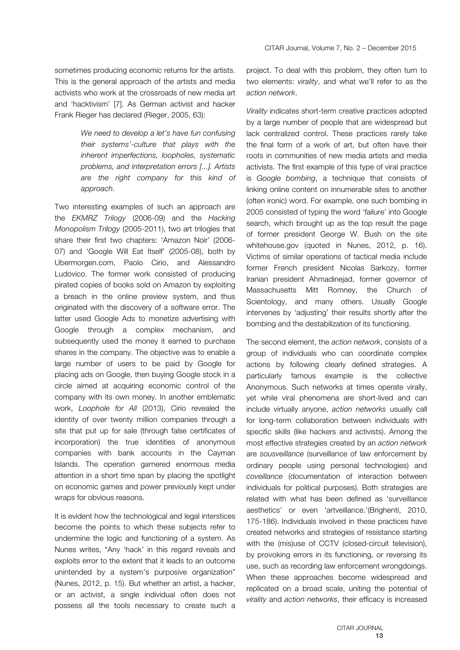*We need to develop a let's have fun confusing their systems'-culture that plays with the inherent imperfections, loopholes, systematic problems, and interpretation errors [...]. Artists are the right company for this kind of approach.*

Two interesting examples of such an approach are the *EKMRZ Trilogy* (2006-09) and the *Hacking Monopolism Trilogy* (2005-2011), two art trilogies that share their first two chapters: 'Amazon Noir' (2006- 07) and 'Google Will Eat Itself' (2005-08), both by Ubermorgen.com, Paolo Cirio, and Alessandro Ludovico. The former work consisted of producing pirated copies of books sold on Amazon by exploiting a breach in the online preview system, and thus originated with the discovery of a software error. The latter used Google Ads to monetize advertising with Google through a complex mechanism, and subsequently used the money it earned to purchase shares in the company. The objective was to enable a large number of users to be paid by Google for placing ads on Google, then buying Google stock in a circle aimed at acquiring economic control of the company with its own money. In another emblematic work, *Loophole for All* (2013), Cirio revealed the identity of over twenty million companies through a site that put up for sale (through false certificates of incorporation) the true identities of anonymous companies with bank accounts in the Cayman Islands. The operation garnered enormous media attention in a short time span by placing the spotlight on economic games and power previously kept under wraps for obvious reasons.

It is evident how the technological and legal interstices become the points to which these subjects refer to undermine the logic and functioning of a system. As Nunes writes, "Any 'hack' in this regard reveals and exploits error to the extent that it leads to an outcome unintended by a system's purposive organization" (Nunes, 2012, p. 15). But whether an artist, a hacker, or an activist, a single individual often does not possess all the tools necessary to create such a

project. To deal with this problem, they often turn to two elements: *virality*, and what we'll refer to as the *action network*.

*Virality* indicates short-term creative practices adopted by a large number of people that are widespread but lack centralized control. These practices rarely take the final form of a work of art, but often have their roots in communities of new media artists and media activists. The first example of this type of viral practice is *Google bombing*, a technique that consists of linking online content on innumerable sites to another (often ironic) word. For example, one such bombing in 2005 consisted of typing the word 'failure' into Google search, which brought up as the top result the page of former president George W. Bush on the site whitehouse.gov (quoted in Nunes, 2012, p. 16). Victims of similar operations of tactical media include former French president Nicolas Sarkozy, former Iranian president Ahmadinejad, former governor of Massachusetts Mitt Romney, the Church of Scientology, and many others. Usually Google intervenes by 'adjusting' their results shortly after the bombing and the destabilization of its functioning.

The second element, the *action network*, consists of a group of individuals who can coordinate complex actions by following clearly defined strategies. A particularly famous example is the collective Anonymous. Such networks at times operate virally, yet while viral phenomena are short-lived and can include virtually anyone, *action networks* usually call for long-term collaboration between individuals with specific skills (like hackers and activists). Among the most effective strategies created by an *action network* are *sousveillance* (surveillance of law enforcement by ordinary people using personal technologies) and *coveillance* (documentation of interaction between individuals for political purposes). Both strategies are related with what has been defined as 'surveillance aesthetics' or even 'artveillance.'(Brighenti, 2010, 175-186). Individuals involved in these practices have created networks and strategies of resistance starting with the (mis)use of CCTV (closed-circuit television), by provoking errors in its functioning, or reversing its use, such as recording law enforcement wrongdoings. When these approaches become widespread and replicated on a broad scale, uniting the potential of *virality* and *action networks*, their efficacy is increased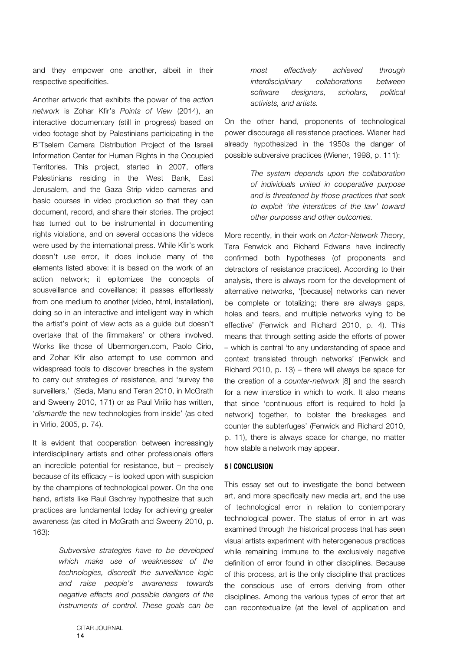and they empower one another, albeit in their respective specificities.

Another artwork that exhibits the power of the *action network* is Zohar Kfir's *Points of View* (2014), an interactive documentary (still in progress) based on video footage shot by Palestinians participating in the B'Tselem Camera Distribution Project of the Israeli Information Center for Human Rights in the Occupied Territories. This project, started in 2007, offers Palestinians residing in the West Bank, East Jerusalem, and the Gaza Strip video cameras and basic courses in video production so that they can document, record, and share their stories. The project has turned out to be instrumental in documenting rights violations, and on several occasions the videos were used by the international press. While Kfir's work doesn't use error, it does include many of the elements listed above: it is based on the work of an action network; it epitomizes the concepts of sousveillance and coveillance; it passes effortlessly from one medium to another (video, html, installation), doing so in an interactive and intelligent way in which the artist's point of view acts as a guide but doesn't overtake that of the filmmakers' or others involved. Works like those of Ubermorgen.com, Paolo Cirio, and Zohar Kfir also attempt to use common and widespread tools to discover breaches in the system to carry out strategies of resistance, and 'survey the surveillers,' (Seda, Manu and Teran 2010, in McGrath and Sweeny 2010, 171) or as Paul Virilio has written, '*dismantle* the new technologies from inside' (as cited in Virlio, 2005, p. 74).

It is evident that cooperation between increasingly interdisciplinary artists and other professionals offers an incredible potential for resistance, but – precisely because of its efficacy – is looked upon with suspicion by the champions of technological power. On the one hand, artists like Raul Gschrey hypothesize that such practices are fundamental today for achieving greater awareness (as cited in McGrath and Sweeny 2010, p. 163):

> *Subversive strategies have to be developed which make use of weaknesses of the technologies, discredit the surveillance logic and raise people's awareness towards negative effects and possible dangers of the instruments of control. These goals can be*

On the other hand, proponents of technological power discourage all resistance practices. Wiener had already hypothesized in the 1950s the danger of possible subversive practices (Wiener, 1998, p. 111):

> *The system depends upon the collaboration of individuals united in cooperative purpose and is threatened by those practices that seek to exploit 'the interstices of the law' toward other purposes and other outcomes.*

More recently, in their work on *Actor-Network Theory*, Tara Fenwick and Richard Edwans have indirectly confirmed both hypotheses (of proponents and detractors of resistance practices). According to their analysis, there is always room for the development of alternative networks, '[because] networks can never be complete or totalizing; there are always gaps, holes and tears, and multiple networks vying to be effective' (Fenwick and Richard 2010, p. 4). This means that through setting aside the efforts of power – which is central 'to any understanding of space and context translated through networks' (Fenwick and Richard 2010, p. 13) – there will always be space for the creation of a *counter-network* [8] and the search for a new interstice in which to work. It also means that since 'continuous effort is required to hold [a network] together, to bolster the breakages and counter the subterfuges' (Fenwick and Richard 2010, p. 11), there is always space for change, no matter how stable a network may appear.

## **5 | CONCLUSION**

This essay set out to investigate the bond between art, and more specifically new media art, and the use of technological error in relation to contemporary technological power. The status of error in art was examined through the historical process that has seen visual artists experiment with heterogeneous practices while remaining immune to the exclusively negative definition of error found in other disciplines. Because of this process, art is the only discipline that practices the conscious use of errors deriving from other disciplines. Among the various types of error that art can recontextualize (at the level of application and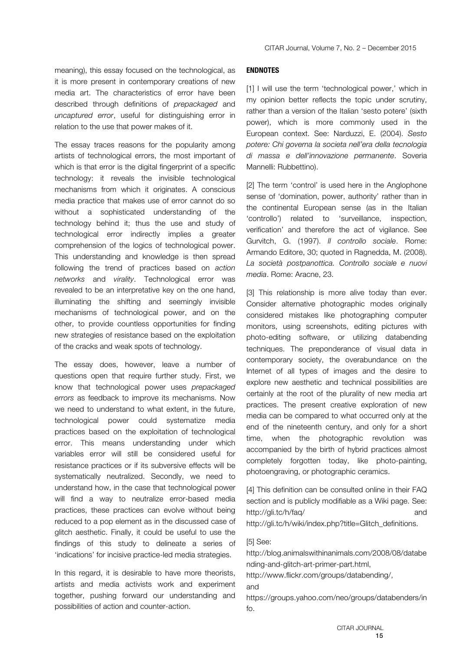meaning), this essay focused on the technological, as it is more present in contemporary creations of new media art. The characteristics of error have been described through definitions of *prepackaged* and *uncaptured error*, useful for distinguishing error in relation to the use that power makes of it.

The essay traces reasons for the popularity among artists of technological errors, the most important of which is that error is the digital fingerprint of a specific technology: it reveals the invisible technological mechanisms from which it originates. A conscious media practice that makes use of error cannot do so without a sophisticated understanding of the technology behind it; thus the use and study of technological error indirectly implies a greater comprehension of the logics of technological power. This understanding and knowledge is then spread following the trend of practices based on *action networks* and *virality*. Technological error was revealed to be an interpretative key on the one hand, illuminating the shifting and seemingly invisible mechanisms of technological power, and on the other, to provide countless opportunities for finding new strategies of resistance based on the exploitation of the cracks and weak spots of technology.

The essay does, however, leave a number of questions open that require further study. First, we know that technological power uses *prepackaged errors* as feedback to improve its mechanisms. Now we need to understand to what extent, in the future, technological power could systematize media practices based on the exploitation of technological error. This means understanding under which variables error will still be considered useful for resistance practices or if its subversive effects will be systematically neutralized. Secondly, we need to understand how, in the case that technological power will find a way to neutralize error-based media practices, these practices can evolve without being reduced to a pop element as in the discussed case of glitch aesthetic. Finally, it could be useful to use the findings of this study to delineate a series of 'indications' for incisive practice-led media strategies.

In this regard, it is desirable to have more theorists, artists and media activists work and experiment together, pushing forward our understanding and possibilities of action and counter-action.

## **ENDNOTES**

[1] I will use the term 'technological power,' which in my opinion better reflects the topic under scrutiny, rather than a version of the Italian 'sesto potere' (sixth power), which is more commonly used in the European context. See: Narduzzi, E. (2004). *Sesto potere: Chi governa la societa nell'era della tecnologia di massa e dell'innovazione permanente*. Soveria Mannelli: Rubbettino).

[2] The term 'control' is used here in the Anglophone sense of 'domination, power, authority' rather than in the continental European sense (as in the Italian 'controllo') related to 'surveillance, inspection, verification' and therefore the act of vigilance. See Gurvitch, G. (1997). *Il controllo sociale*. Rome: Armando Editore, 30; quoted in Ragnedda, M. (2008). *La società postpanottica. Controllo sociale e nuovi media*. Rome: Aracne, 23.

[3] This relationship is more alive today than ever. Consider alternative photographic modes originally considered mistakes like photographing computer monitors, using screenshots, editing pictures with photo-editing software, or utilizing databending techniques. The preponderance of visual data in contemporary society, the overabundance on the Internet of all types of images and the desire to explore new aesthetic and technical possibilities are certainly at the root of the plurality of new media art practices. The present creative exploration of new media can be compared to what occurred only at the end of the nineteenth century, and only for a short time, when the photographic revolution was accompanied by the birth of hybrid practices almost completely forgotten today, like photo-painting, photoengraving, or photographic ceramics.

[4] This definition can be consulted online in their FAQ section and is publicly modifiable as a Wiki page. See: http://gli.tc/h/faq/ and http://gli.tc/h/wiki/index.php?title=Glitch\_definitions.

## [5] See:

http://blog.animalswithinanimals.com/2008/08/databe nding-and-glitch-art-primer-part.html,

http://www.flickr.com/groups/databending/, and

https://groups.yahoo.com/neo/groups/databenders/in fo.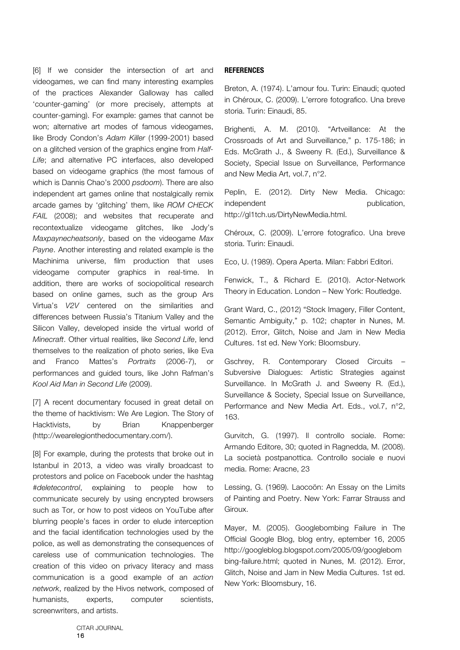[6] If we consider the intersection of art and videogames, we can find many interesting examples of the practices Alexander Galloway has called 'counter-gaming' (or more precisely, attempts at counter-gaming). For example: games that cannot be won; alternative art modes of famous videogames, like Brody Condon's *Adam Killer* (1999-2001) based on a glitched version of the graphics engine from *Half-Life*; and alternative PC interfaces, also developed based on videogame graphics (the most famous of which is Dannis Chao's 2000 *psdoom*). There are also independent art games online that nostalgically remix arcade games by 'glitching' them, like *ROM CHECK FAIL* (2008); and websites that recuperate and recontextualize videogame glitches, like Jody's *Maxpaynecheatsonly*, based on the videogame *Max Payne*. Another interesting and related example is the Machinima universe, film production that uses videogame computer graphics in real-time. In addition, there are works of sociopolitical research based on online games, such as the group Ars Virtua's *V2V* centered on the similarities and differences between Russia's Titanium Valley and the Silicon Valley, developed inside the virtual world of *Minecraft*. Other virtual realities, like *Second Life*, lend themselves to the realization of photo series, like Eva and Franco Mattes's *Portraits* (2006-7), or performances and guided tours, like John Rafman's *Kool Aid Man in Second Life* (2009).

[7] A recent documentary focused in great detail on the theme of hacktivism: We Are Legion. The Story of Hacktivists, by Brian Knappenberger (http://wearelegionthedocumentary.com/).

[8] For example, during the protests that broke out in Istanbul in 2013, a video was virally broadcast to protestors and police on Facebook under the hashtag #*deletecontrol*, explaining to people how to communicate securely by using encrypted browsers such as Tor, or how to post videos on YouTube after blurring people's faces in order to elude interception and the facial identification technologies used by the police, as well as demonstrating the consequences of careless use of communication technologies. The creation of this video on privacy literacy and mass communication is a good example of an *action network*, realized by the Hivos network, composed of humanists, experts, computer scientists, screenwriters, and artists.

## **REFERENCES**

Breton, A. (1974). L'amour fou. Turin: Einaudi; quoted in Chéroux, C. (2009). L'errore fotografico. Una breve storia. Turin: Einaudi, 85.

Brighenti, A. M. (2010). "Artveillance: At the Crossroads of Art and Surveillance," p. 175-186; in Eds. McGrath J., & Sweeny R. (Ed.), Surveillance & Society, Special Issue on Surveillance, Performance and New Media Art, vol.7, n°2.

Peplin, E. (2012). Dirty New Media. Chicago: independent publication, http://gl1tch.us/DirtyNewMedia.html.

Chéroux, C. (2009). L'errore fotografico. Una breve storia. Turin: Einaudi.

Eco, U. (1989). Opera Aperta. Milan: Fabbri Editori.

Fenwick, T., & Richard E. (2010). Actor-Network Theory in Education. London – New York: Routledge.

Grant Ward, C., (2012) "Stock Imagery, Filler Content, Semantic Ambiguity," p. 102; chapter in Nunes, M. (2012). Error, Glitch, Noise and Jam in New Media Cultures. 1st ed. New York: Bloomsbury.

Gschrey, R. Contemporary Closed Circuits – Subversive Dialogues: Artistic Strategies against Surveillance. In McGrath J. and Sweeny R. (Ed.), Surveillance & Society, Special Issue on Surveillance, Performance and New Media Art. Eds., vol.7, n°2, 163.

Gurvitch, G. (1997). Il controllo sociale. Rome: Armando Editore, 30; quoted in Ragnedda, M. (2008). La società postpanottica. Controllo sociale e nuovi media. Rome: Aracne, 23

Lessing, G. (1969). Laocoön: An Essay on the Limits of Painting and Poetry. New York: Farrar Strauss and Giroux.

Mayer, M. (2005). Googlebombing Failure in The Official Google Blog, blog entry, eptember 16, 2005 http://googleblog.blogspot.com/2005/09/googlebom bing-failure.html; quoted in Nunes, M. (2012). Error, Glitch, Noise and Jam in New Media Cultures. 1st ed. New York: Bloomsbury, 16.